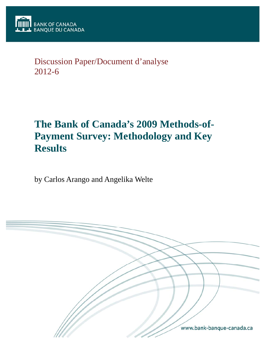

## Discussion Paper/Document d'analyse 2012-6

# **The Bank of Canada's 2009 Methods-of-Payment Survey: Methodology and Key Results**

by Carlos Arango and Angelika Welte

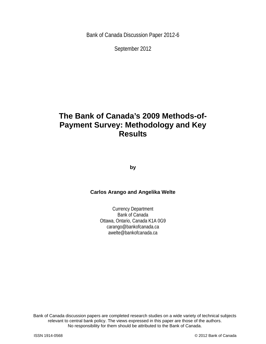Bank of Canada Discussion Paper 2012-6

September 2012

## **The Bank of Canada's 2009 Methods-of-Payment Survey: Methodology and Key Results**

**by** 

#### **Carlos Arango and Angelika Welte**

Currency Department Bank of Canada Ottawa, Ontario, Canada K1A 0G9 carango@bankofcanada.ca awelte@bankofcanada.ca

2 No responsibility for them should be attributed to the Bank of Canada. Bank of Canada discussion papers are completed research studies on a wide variety of technical subjects relevant to central bank policy. The views expressed in this paper are those of the authors.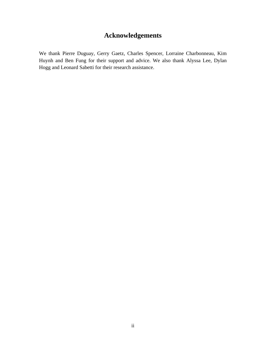## **Acknowledgements**

We thank Pierre Duguay, Gerry Gaetz, Charles Spencer, Lorraine Charbonneau, Kim Huynh and Ben Fung for their support and advice. We also thank Alyssa Lee, Dylan Hogg and Leonard Sabetti for their research assistance.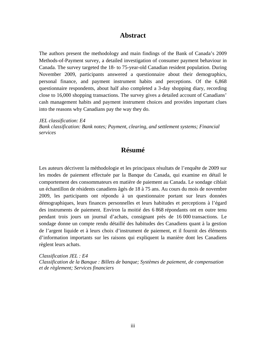### **Abstract**

The authors present the methodology and main findings of the Bank of Canada's 2009 Methods-of-Payment survey, a detailed investigation of consumer payment behaviour in Canada. The survey targeted the 18- to 75-year-old Canadian resident population. During November 2009, participants answered a questionnaire about their demographics, personal finance, and payment instrument habits and perceptions. Of the 6,868 questionnaire respondents, about half also completed a 3-day shopping diary, recording close to 16,000 shopping transactions. The survey gives a detailed account of Canadians' cash management habits and payment instrument choices and provides important clues into the reasons why Canadians pay the way they do.

*JEL classification: E4 Bank classification: Bank notes; Payment, clearing, and settlement systems; Financial services* 

## **Résumé**

Les auteurs décrivent la méthodologie et les principaux résultats de l'enquête de 2009 sur les modes de paiement effectuée par la Banque du Canada, qui examine en détail le comportement des consommateurs en matière de paiement au Canada. Le sondage ciblait un échantillon de résidents canadiens âgés de 18 à 75 ans. Au cours du mois de novembre 2009, les participants ont répondu à un questionnaire portant sur leurs données démographiques, leurs finances personnelles et leurs habitudes et perceptions à l'égard des instruments de paiement. Environ la moitié des 6 868 répondants ont en outre tenu pendant trois jours un journal d'achats, consignant près de 16 000 transactions. Le sondage donne un compte rendu détaillé des habitudes des Canadiens quant à la gestion de l'argent liquide et à leurs choix d'instrument de paiement, et il fournit des éléments d'information importants sur les raisons qui expliquent la manière dont les Canadiens règlent leurs achats.

*Classification JEL : E4 Classification de la Banque : Billets de banque; Systèmes de paiement, de compensation et de règlement; Services financiers*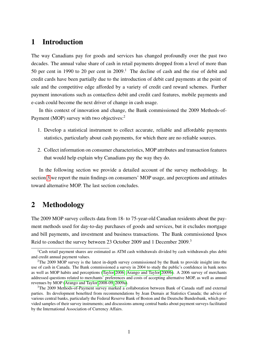## 1 Introduction

The way Canadians pay for goods and services has changed profoundly over the past two decades. The annual value share of cash in retail payments dropped from a level of more than 50 per cent in 1990 to 20 per cent in  $2009$ .<sup>1</sup> The decline of cash and the rise of debit and credit cards have been partially due to the introduction of debit card payments at the point of sale and the competitive edge afforded by a variety of credit card reward schemes. Further payment innovations such as contactless debit and credit card features, mobile payments and e-cash could become the next driver of change in cash usage.

In this context of innovation and change, the Bank commissioned the 2009 Methods-of-Payment (MOP) survey with two objectives:<sup>2</sup>

- 1. Develop a statistical instrument to collect accurate, reliable and affordable payments statistics, particularly about cash payments, for which there are no reliable sources.
- 2. Collect information on consumer characteristics, MOP attributes and transaction features that would help explain why Canadians pay the way they do.

In the following section we provide a detailed account of the survey methodology. In section [3](#page-8-0) we report the main findings on consumers' MOP usage, and perceptions and attitudes toward alternative MOP. The last section concludes.

## 2 Methodology

The 2009 MOP survey collects data from 18- to 75-year-old Canadian residents about the payment methods used for day-to-day purchases of goods and services, but it excludes mortgage and bill payments, and investment and business transactions. The Bank commissioned Ipsos Reid to conduct the survey between 23 October 2009 and 1 December 2009.<sup>3</sup>

<sup>&</sup>lt;sup>1</sup>Cash retail payment shares are estimated as ATM cash withdrawals divided by cash withdrawals plus debit and credit annual payment values.

 $2$ The 2009 MOP survey is the latest in-depth survey commissioned by the Bank to provide insight into the use of cash in Canada. The Bank commissioned a survey in 2004 to study the public's confidence in bank notes as well as MOP habits and perceptions [\(Taylor 2006;](#page-15-0) [Arango and Taylor 2009b\)](#page-14-0). A 2006 survey of merchants addressed questions related to merchants' preferences and costs of accepting alternative MOP, as well as annual revenues by MOP [\(Arango and Taylor 2008-09,](#page-14-1) [2009a\)](#page-14-2).

<sup>&</sup>lt;sup>3</sup>The 2009 Methods-of-Payment survey marked a collaboration between Bank of Canada staff and external parties. Its development benefited from recommendations by Jean Dumais at Statistics Canada; the advice of various central banks, particularly the Federal Reserve Bank of Boston and the Deutsche Bundesbank, which provided samples of their survey instruments; and discussions among central banks about payment surveys facilitated by the International Association of Currency Affairs.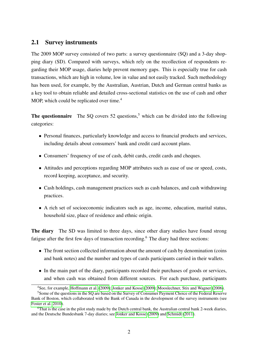#### 2.1 Survey instruments

The 2009 MOP survey consisted of two parts: a survey questionnaire (SQ) and a 3-day shopping diary (SD). Compared with surveys, which rely on the recollection of respondents regarding their MOP usage, diaries help prevent memory gaps. This is especially true for cash transactions, which are high in volume, low in value and not easily tracked. Such methodology has been used, for example, by the Australian, Austrian, Dutch and German central banks as a key tool to obtain reliable and detailed cross-sectional statistics on the use of cash and other MOP, which could be replicated over time.<sup>4</sup>

**The questionnaire** The SQ covers 52 questions,<sup>5</sup> which can be divided into the following categories:

- Personal finances, particularly knowledge and access to financial products and services, including details about consumers' bank and credit card account plans.
- Consumers' frequency of use of cash, debit cards, credit cards and cheques.
- Attitudes and perceptions regarding MOP attributes such as ease of use or speed, costs, record keeping, acceptance, and security.
- Cash holdings, cash management practices such as cash balances, and cash withdrawing practices.
- A rich set of socioeconomic indicators such as age, income, education, marital status, household size, place of residence and ethnic origin.

The diary The SD was limited to three days, since other diary studies have found strong fatigue after the first few days of transaction recording.<sup>6</sup> The diary had three sections:

- The front section collected information about the amount of cash by denomination (coins and bank notes) and the number and types of cards participants carried in their wallets.
- In the main part of the diary, participants recorded their purchases of goods or services, and when cash was obtained from different sources. For each purchase, participants

<sup>4</sup>See, for example, [Hoffmann et al.](#page-14-3) [\(2009\)](#page-14-3); [Jonker and Kosse](#page-14-4) [\(2009\)](#page-14-4); [Mooslechner, Stix and Wagner](#page-14-5) [\(2006\)](#page-14-5).

<sup>5</sup>Some of the questions in the SQ are based on the Survey of Consumer Payment Choice of the Federal Reserve Bank of Boston, which collaborated with the Bank of Canada in the development of the survey instruments (see [Foster et al. 2010\)](#page-14-6).

<sup>6</sup>That is the case in the pilot study made by the Dutch central bank, the Australian central bank 2-week diaries, and the Deutsche Bundesbank 7-day diaries; see [Jonker and Kosse](#page-14-4) [\(2009\)](#page-14-4) and [Schmidt](#page-15-1) [\(2011\)](#page-15-1).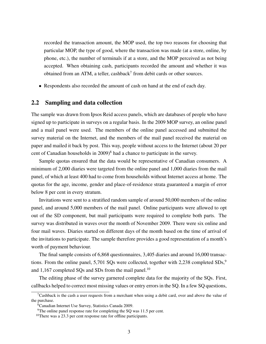recorded the transaction amount, the MOP used, the top two reasons for choosing that particular MOP, the type of good, where the transaction was made (at a store, online, by phone, etc.), the number of terminals if at a store, and the MOP perceived as not being accepted. When obtaining cash, participants recorded the amount and whether it was obtained from an ATM, a teller, cashback<sup>7</sup> from debit cards or other sources.

• Respondents also recorded the amount of cash on hand at the end of each day.

#### 2.2 Sampling and data collection

The sample was drawn from Ipsos Reid access panels, which are databases of people who have signed up to participate in surveys on a regular basis. In the 2009 MOP survey, an online panel and a mail panel were used. The members of the online panel accessed and submitted the survey material on the Internet, and the members of the mail panel received the material on paper and mailed it back by post. This way, people without access to the Internet (about 20 per cent of Canadian households in  $2009$ <sup>8</sup> had a chance to participate in the survey.

Sample quotas ensured that the data would be representative of Canadian consumers. A minimum of 2,000 diaries were targeted from the online panel and 1,000 diaries from the mail panel, of which at least 400 had to come from households without Internet access at home. The quotas for the age, income, gender and place-of-residence strata guaranteed a margin of error below 8 per cent in every stratum.

Invitations were sent to a stratified random sample of around 50,000 members of the online panel, and around 5,000 members of the mail panel. Online participants were allowed to opt out of the SD component, but mail participants were required to complete both parts. The survey was distributed in waves over the month of November 2009. There were six online and four mail waves. Diaries started on different days of the month based on the time of arrival of the invitations to participate. The sample therefore provides a good representation of a month's worth of payment behaviour.

The final sample consists of 6,868 questionnaires, 3,405 diaries and around 16,000 transactions. From the online panel, 5,701 SQs were collected, together with 2,238 completed  $SDs$ ,<sup>9</sup> and  $1,167$  completed SQs and SDs from the mail panel.<sup>10</sup>

The editing phase of the survey garnered complete data for the majority of the SQs. First, callbacks helped to correct most missing values or entry errors in the SQ. In a few SQ questions,

 $7$ Cashback is the cash a user requests from a merchant when using a debit card, over and above the value of the purchase.

<sup>8</sup>Canadian Internet Use Survey, Statistics Canada 2009.

<sup>&</sup>lt;sup>9</sup>The online panel response rate for completing the SQ was 11.5 per cent.

<sup>&</sup>lt;sup>10</sup>There was a 23.3 per cent response rate for offline participants.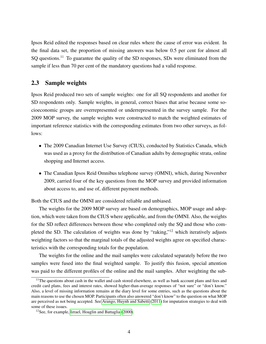Ipsos Reid edited the responses based on clear rules where the cause of error was evident. In the final data set, the proportion of missing answers was below 0.5 per cent for almost all SQ questions.<sup>11</sup> To guarantee the quality of the SD responses, SDs were eliminated from the sample if less than 70 per cent of the mandatory questions had a valid response.

#### 2.3 Sample weights

Ipsos Reid produced two sets of sample weights: one for all SQ respondents and another for SD respondents only. Sample weights, in general, correct biases that arise because some socioeconomic groups are overrepresented or underrepresented in the survey sample. For the 2009 MOP survey, the sample weights were constructed to match the weighted estimates of important reference statistics with the corresponding estimates from two other surveys, as follows:

- The 2009 Canadian Internet Use Survey (CIUS), conducted by Statistics Canada, which was used as a proxy for the distribution of Canadian adults by demographic strata, online shopping and Internet access.
- The Canadian Ipsos Reid Omnibus telephone survey (OMNI), which, during November 2009, carried four of the key questions from the MOP survey and provided information about access to, and use of, different payment methods.

Both the CIUS and the OMNI are considered reliable and unbiased.

The weights for the 2009 MOP survey are based on demographics, MOP usage and adoption, which were taken from the CIUS where applicable, and from the OMNI. Also, the weights for the SD reflect differences between those who completed only the SQ and those who completed the SD. The calculation of weights was done by "raking,"<sup>12</sup> which iteratively adjusts weighting factors so that the marginal totals of the adjusted weights agree on specified characteristics with the corresponding totals for the population.

The weights for the online and the mail samples were calculated separately before the two samples were fused into the final weighted sample. To justify this fusion, special attention was paid to the different profiles of the online and the mail samples. After weighting the sub-

<sup>&</sup>lt;sup>11</sup>The questions about cash in the wallet and cash stored elsewhere, as well as bank account plans and fees and credit card plans, fees and interest rates, showed higher-than-average responses of "not sure" or "don't know." Also, a level of missing information remains at the diary level for some entries, such as the questions about the main reasons to use the chosen MOP. Participants often also answered "don't know" to the question on what MOP are perceived as not being accepted. See [Arango, Huynh and Sabetti](#page-14-7) [\(2011\)](#page-14-7) for imputation strategies to deal with some of these issues.

<sup>12</sup>See, for example, [Izrael, Hoaglin and Battaglia](#page-14-8) [\(2000\)](#page-14-8).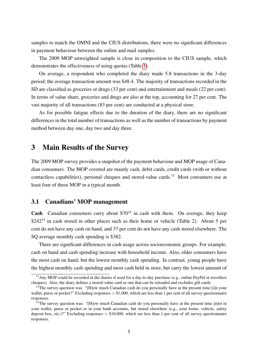samples to match the OMNI and the CIUS distributions, there were no significant differences in payment behaviour between the online and mail samples.

The 2009 MOP unweighted sample is close in composition to the CIUS sample, which demonstrates the effectiveness of using quotas (Table [1\)](#page-16-0).

On average, a respondent who completed the diary made 5.8 transactions in the 3-day period; the average transaction amount was \$48.4. The majority of transactions recorded in the SD are classified as groceries or drugs (33 per cent) and entertainment and meals (22 per cent). In terms of value share, groceries and drugs are also at the top, accounting for 27 per cent. The vast majority of all transactions (83 per cent) are conducted at a physical store.

As for possible fatigue effects due to the duration of the diary, there are no significant differences in the total number of transactions as well as the number of transactions by payment method between day one, day two and day three.

### <span id="page-8-0"></span>3 Main Results of the Survey

The 2009 MOP survey provides a snapshot of the payment behaviour and MOP usage of Canadian consumers. The MOP covered are mainly cash, debit cards, credit cards (with or without contactless capabilities), personal cheques and stored-value cards.<sup>13</sup> Most consumers use at least four of these MOP in a typical month.

#### 3.1 Canadians' MOP management

**Cash** Canadian consumers carry about  $$70^{14}$  in cash with them. On average, they keep  $$242<sup>15</sup>$  in cash stored in other places such as their home or vehicle (Table 2). About 5 per cent do not have any cash on hand, and 37 per cent do not have any cash stored elsewhere. The SQ average monthly cash spending is \$382.

There are significant differences in cash usage across socioeconomic groups. For example, cash on hand and cash spending increase with household income. Also, older consumers have the most cash on hand, but the lowest monthly cash spending. In contrast, young people have the highest monthly cash spending and most cash held in store, but carry the lowest amount of

<sup>&</sup>lt;sup>13</sup>Any MOP could be recorded in the diaries if used for a day-to-day purchase (e.g., online PayPal or travellers cheques). Also, the diary defines a stored-value card as one that can be reloaded and excludes gift cards.

<sup>&</sup>lt;sup>14</sup>The survey question was: "[H]ow much Canadian cash do you personally have at the present time [i]n your wallet, purse or pocket?" Excluding responses  $> $1,000$ , which are less than 1 per cent of all survey questionnaire responses.

<sup>&</sup>lt;sup>15</sup>The survey question was: "[H]ow much Canadian cash do you personally have at the present time [n]ot in your wallet, purse or pocket or in your bank accounts, but stored elsewhere (e.g., your home, vehicle, safety deposit box, etc.)?" Excluding responses  $> $10,000$ , which are less than 1 per cent of all survey questionnaire responses.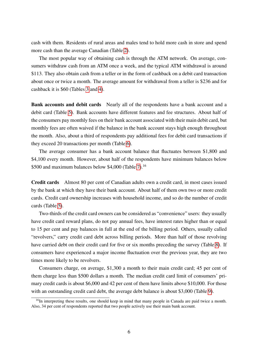cash with them. Residents of rural areas and males tend to hold more cash in store and spend more cash than the average Canadian (Table [2\)](#page-17-0).

The most popular way of obtaining cash is through the ATM network. On average, consumers withdraw cash from an ATM once a week, and the typical ATM withdrawal is around \$113. They also obtain cash from a teller or in the form of cashback on a debit card transaction about once or twice a month. The average amount for withdrawal from a teller is \$236 and for cashback it is \$60 (Tables [3](#page-18-0) and [4\)](#page-19-0).

Bank accounts and debit cards Nearly all of the respondents have a bank account and a debit card (Table [5\)](#page-20-0). Bank accounts have different features and fee structures. About half of the consumers pay monthly fees on their bank account associated with their main debit card, but monthly fees are often waived if the balance in the bank account stays high enough throughout the month. Also, about a third of respondents pay additional fees for debit card transactions if they exceed 20 transactions per month (Table [6\)](#page-21-0).

The average consumer has a bank account balance that fluctuates between \$1,800 and \$4,100 every month. However, about half of the respondents have minimum balances below \$500 and maximum balances below \$4,000 (Table [7\)](#page-22-0).<sup>16</sup>

Credit cards Almost 80 per cent of Canadian adults own a credit card, in most cases issued by the bank at which they have their bank account. About half of them own two or more credit cards. Credit card ownership increases with household income, and so do the number of credit cards (Table [5\)](#page-20-0).

Two-thirds of the credit card owners can be considered as "convenience" users: they usually have credit card reward plans, do not pay annual fees, have interest rates higher than or equal to 15 per cent and pay balances in full at the end of the billing period. Others, usually called "revolvers," carry credit card debt across billing periods. More than half of those revolving have carried debt on their credit card for five or six months preceding the survey (Table [8\)](#page-23-0). If consumers have experienced a major income fluctuation over the previous year, they are two times more likely to be revolvers.

Consumers charge, on average, \$1,300 a month to their main credit card; 45 per cent of them charge less than \$500 dollars a month. The median credit card limit of consumers' primary credit cards is about \$6,000 and 42 per cent of them have limits above \$10,000. For those with an outstanding credit card debt, the average debt balance is about \$3,000 (Table [9\)](#page-24-0).

<sup>&</sup>lt;sup>16</sup>In interpreting these results, one should keep in mind that many people in Canada are paid twice a month. Also, 34 per cent of respondents reported that two people actively use their main bank account.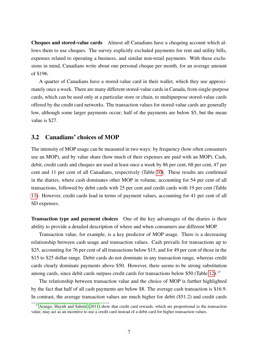Cheques and stored-value cards Almost all Canadians have a chequing account which allows them to use cheques. The survey explicitly excluded payments for rent and utility bills, expenses related to operating a business, and similar non-retail payments. With these exclusions in mind, Canadians write about one personal cheque per month, for an average amount of \$196.

A quarter of Canadians have a stored-value card in their wallet, which they use approximately once a week. There are many different stored-value cards in Canada, from single-purpose cards, which can be used only at a particular store or chain, to multipurpose stored-value cards offered by the credit card networks. The transaction values for stored-value cards are generally low, although some larger payments occur; half of the payments are below \$5, but the mean value is \$27.

#### 3.2 Canadians' choices of MOP

The intensity of MOP usage can be measured in two ways: by frequency (how often consumers use an MOP), and by value share (how much of their expenses are paid with an MOP). Cash, debit, credit cards and cheques are used at least once a week by 86 per cent, 68 per cent, 47 per cent and 11 per cent of all Canadians, respectively (Table [10\)](#page-25-0). These results are confirmed in the diaries, where cash dominates other MOP in volume, accounting for 54 per cent of all transactions, followed by debit cards with 25 per cent and credit cards with 19 per cent (Table [11\)](#page-26-0). However, credit cards lead in terms of payment values, accounting for 41 per cent of all SD expenses.

Transaction type and payment choices One of the key advantages of the diaries is their ability to provide a detailed description of where and when consumers use different MOP.

Transaction value, for example, is a key predictor of MOP usage. There is a decreasing relationship between cash usage and transaction values. Cash prevails for transactions up to \$25, accounting for 76 per cent of all transactions below \$15, and for 49 per cent of those in the \$15 to \$25 dollar range. Debit cards do not dominate in any transaction range, whereas credit cards clearly dominate payments above \$50. However, there seems to be strong substitution among cards, since debit cards surpass credit cards for transactions below \$50 (Table [12\)](#page-26-1).<sup>17</sup>

The relationship between transaction value and the choice of MOP is further highlighted by the fact that half of all cash payments are below \$8. The average cash transaction is \$16.9. In contrast, the average transaction values are much higher for debit (\$51.2) and credit cards

<sup>&</sup>lt;sup>17</sup>[Arango, Huynh and Sabetti](#page-14-7) [\(2011\)](#page-14-7) show that credit card rewards, which are proportional to the transaction value, may act as an incentive to use a credit card instead of a debit card for higher transaction values.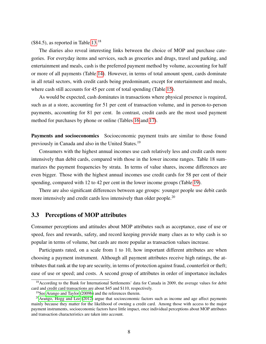$($84.5)$ , as reported in Table [13.](#page-26-2)<sup>18</sup>

The diaries also reveal interesting links between the choice of MOP and purchase categories. For everyday items and services, such as groceries and drugs, travel and parking, and entertainment and meals, cash is the preferred payment method by volume, accounting for half or more of all payments (Table [14\)](#page-27-0). However, in terms of total amount spent, cards dominate in all retail sectors, with credit cards being predominant, except for entertainment and meals, where cash still accounts for 45 per cent of total spending (Table [15\)](#page-28-0).

As would be expected, cash dominates in transactions where physical presence is required, such as at a store, accounting for 51 per cent of transaction volume, and in person-to-person payments, accounting for 81 per cent. In contrast, credit cards are the most used payment method for purchases by phone or online (Tables [16](#page-28-1) and [17\)](#page-29-0).

Payments and socioeconomics Socioeconomic payment traits are similar to those found previously in Canada and also in the United States.<sup>19</sup>

Consumers with the highest annual incomes use cash relatively less and credit cards more intensively than debit cards, compared with those in the lower income ranges. Table 18 summarizes the payment frequencies by strata. In terms of value shares, income differences are even bigger. Those with the highest annual incomes use credit cards for 58 per cent of their spending, compared with 12 to 42 per cent in the lower income groups (Table [19\)](#page-31-0).

There are also significant differences between age groups: younger people use debit cards more intensively and credit cards less intensively than older people.<sup>20</sup>

#### 3.3 Perceptions of MOP attributes

Consumer perceptions and attitudes about MOP attributes such as acceptance, ease of use or speed, fees and rewards, safety, and record keeping provide many clues as to why cash is so popular in terms of volume, but cards are more popular as transaction values increase.

Participants rated, on a scale from 1 to 10, how important different attributes are when choosing a payment instrument. Although all payment attributes receive high ratings, the attributes that rank at the top are security, in terms of protection against fraud, counterfeit or theft; ease of use or speed; and costs. A second group of attributes in order of importance includes

<sup>&</sup>lt;sup>18</sup> According to the Bank for International Settlements' data for Canada in 2009, the average values for debit card and credit card transactions are about \$45 and \$110, respectively.

<sup>19</sup>See [Arango and Taylor](#page-14-0) [\(2009b\)](#page-14-0) and the references therein.

 $^{20}$ [Arango, Hogg and Lee](#page-14-9) [\(2012\)](#page-14-9) argue that socioeconomic factors such as income and age affect payments mainly because they matter for the likelihood of owning a credit card. Among those with access to the major payment instruments, socioeconomic factors have little impact, once individual perceptions about MOP attributes and transaction characteristics are taken into account.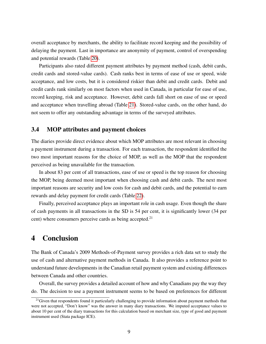overall acceptance by merchants, the ability to facilitate record keeping and the possibility of delaying the payment. Last in importance are anonymity of payment, control of overspending and potential rewards (Table [20\)](#page-32-0).

Participants also rated different payment attributes by payment method (cash, debit cards, credit cards and stored-value cards). Cash ranks best in terms of ease of use or speed, wide acceptance, and low costs, but it is considered riskier than debit and credit cards. Debit and credit cards rank similarly on most factors when used in Canada, in particular for ease of use, record keeping, risk and acceptance. However, debit cards fall short on ease of use or speed and acceptance when travelling abroad (Table [21\)](#page-32-1). Stored-value cards, on the other hand, do not seem to offer any outstanding advantage in terms of the surveyed attributes.

#### 3.4 MOP attributes and payment choices

The diaries provide direct evidence about which MOP attributes are most relevant in choosing a payment instrument during a transaction. For each transaction, the respondent identified the two most important reasons for the choice of MOP, as well as the MOP that the respondent perceived as being unavailable for the transaction.

In about 83 per cent of all transactions, ease of use or speed is the top reason for choosing the MOP, being deemed most important when choosing cash and debit cards. The next most important reasons are security and low costs for cash and debit cards, and the potential to earn rewards and delay payment for credit cards (Table [22\)](#page-33-0).

Finally, perceived acceptance plays an important role in cash usage. Even though the share of cash payments in all transactions in the SD is 54 per cent, it is significantly lower (34 per cent) where consumers perceive cards as being accepted.<sup>21</sup>

## 4 Conclusion

The Bank of Canada's 2009 Methods-of-Payment survey provides a rich data set to study the use of cash and alternative payment methods in Canada. It also provides a reference point to understand future developments in the Canadian retail payment system and existing differences between Canada and other countries.

Overall, the survey provides a detailed account of how and why Canadians pay the way they do. The decision to use a payment instrument seems to be based on preferences for different

<sup>&</sup>lt;sup>21</sup>Given that respondents found it particularly challenging to provide information about payment methods that were not accepted, "Don't know" was the answer in many diary transactions. We imputed acceptance values to about 10 per cent of the diary transactions for this calculation based on merchant size, type of good and payment instrument used (Stata package ICE).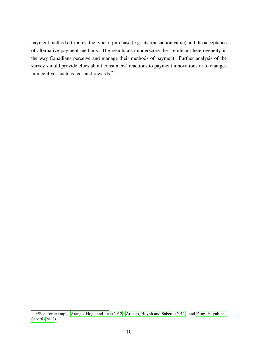payment method attributes, the type of purchase (e.g., its transaction value) and the acceptance of alternative payment methods. The results also underscore the significant heterogeneity in the way Canadians perceive and manage their methods of payment. Further analysis of the survey should provide clues about consumers' reactions to payment innovations or to changes in incentives such as fees and rewards.<sup>22</sup>

 $22$ See, for example, [Arango, Hogg and Lee](#page-14-9) [\(2012\)](#page-14-9); [Arango, Huynh and Sabetti](#page-14-7) [\(2011\)](#page-14-7); and [Fung, Huynh and](#page-14-10) [Sabetti](#page-14-10) [\(2012\)](#page-14-10).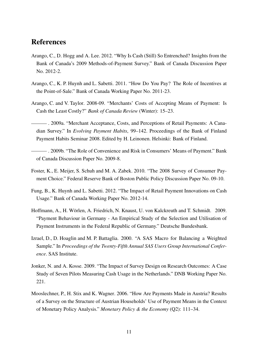## References

- <span id="page-14-9"></span>Arango, C., D. Hogg and A. Lee. 2012. "Why Is Cash (Still) So Entrenched? Insights from the Bank of Canada's 2009 Methods-of-Payment Survey." Bank of Canada Discussion Paper No. 2012-2.
- <span id="page-14-7"></span>Arango, C., K. P. Huynh and L. Sabetti. 2011. "How Do You Pay? The Role of Incentives at the Point-of-Sale." Bank of Canada Working Paper No. 2011-23.
- <span id="page-14-1"></span>Arango, C. and V. Taylor. 2008-09. "Merchants' Costs of Accepting Means of Payment: Is Cash the Least Costly?" *Bank of Canada Review* (Winter): 15–23.
- <span id="page-14-2"></span>. 2009a. "Merchant Acceptance, Costs, and Perceptions of Retail Payments: A Canadian Survey." In *Evolving Payment Habits*, 99–142. Proceedings of the Bank of Finland Payment Habits Seminar 2008. Edited by H. Leinonen. Helsinki: Bank of Finland.
- <span id="page-14-0"></span>. 2009b. "The Role of Convenience and Risk in Consumers' Means of Payment." Bank of Canada Discussion Paper No. 2009-8.
- <span id="page-14-6"></span>Foster, K., E. Meijer, S. Schuh and M. A. Zabek. 2010. "The 2008 Survey of Consumer Payment Choice." Federal Reserve Bank of Boston Public Policy Discussion Paper No. 09-10.
- <span id="page-14-10"></span>Fung, B., K. Huynh and L. Sabetti. 2012. "The Impact of Retail Payment Innovations on Cash Usage." Bank of Canada Working Paper No. 2012-14.
- <span id="page-14-3"></span>Hoffmann, A., H. Wörlen, A. Friedrich, N. Knaust, U. von Kalckreuth and T. Schmidt. 2009. "Payment Behaviour in Germany - An Empirical Study of the Selection and Utilisation of Payment Instruments in the Federal Republic of Germany." Deutsche Bundesbank.
- <span id="page-14-8"></span>Izrael, D., D. Hoaglin and M. P. Battaglia. 2000. "A SAS Macro for Balancing a Weighted Sample." In *Proceedings of the Twenty-Fifth Annual SAS Users Group International Conference*. SAS Institute.
- <span id="page-14-4"></span>Jonker, N. and A. Kosse. 2009. "The Impact of Survey Design on Research Outcomes: A Case Study of Seven Pilots Measuring Cash Usage in the Netherlands." DNB Working Paper No. 221.
- <span id="page-14-5"></span>Mooslechner, P., H. Stix and K. Wagner. 2006. "How Are Payments Made in Austria? Results of a Survey on the Structure of Austrian Households' Use of Payment Means in the Context of Monetary Policy Analysis." *Monetary Policy & the Economy* (Q2): 111–34.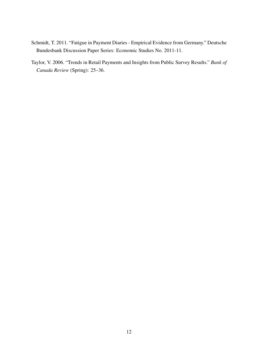- <span id="page-15-1"></span>Schmidt, T. 2011. "Fatigue in Payment Diaries - Empirical Evidence from Germany." Deutsche Bundesbank Discussion Paper Series: Economic Studies No. 2011-11.
- <span id="page-15-0"></span>Taylor, V. 2006. "Trends in Retail Payments and Insights from Public Survey Results." *Bank of Canada Review* (Spring): 25–36.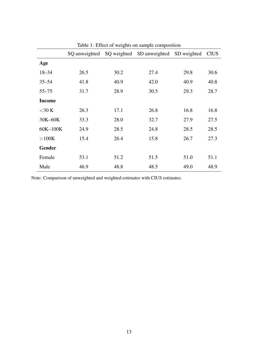|               | SQ unweighted |      | SQ weighted SD unweighted SD weighted |      | <b>CIUS</b> |
|---------------|---------------|------|---------------------------------------|------|-------------|
| Age           |               |      |                                       |      |             |
| $18 - 34$     | 26.5          | 30.2 | 27.4                                  | 29.8 | 30.6        |
| $35 - 54$     | 41.8          | 40.9 | 42.0                                  | 40.9 | 40.8        |
| $55 - 75$     | 31.7          | 28.9 | 30.5                                  | 29.3 | 28.7        |
| <b>Income</b> |               |      |                                       |      |             |
| $<$ 30 K      | 26.3          | 17.1 | 26.8                                  | 16.8 | 16.8        |
| 30K-60K       | 33.3          | 28.0 | 32.7                                  | 27.9 | 27.5        |
| 60K-100K      | 24.9          | 28.5 | 24.8                                  | 28.5 | 28.5        |
| >100K         | 15.4          | 26.4 | 15.8                                  | 26.7 | 27.3        |
| <b>Gender</b> |               |      |                                       |      |             |
| Female        | 53.1          | 51.2 | 51.5                                  | 51.0 | 51.1        |
| Male          | 46.9          | 48.8 | 48.5                                  | 49.0 | 48.9        |

<span id="page-16-0"></span>Table 1: Effect of weights on sample composition

Note: Comparison of unweighted and weighted estimates with CIUS estimates.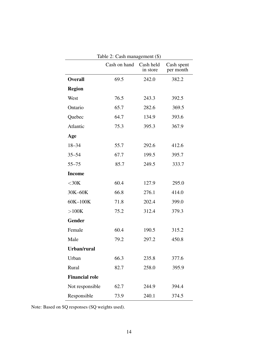<span id="page-17-0"></span>

|                       | Table 2: Cash management (\$) |                       |                         |  |  |
|-----------------------|-------------------------------|-----------------------|-------------------------|--|--|
|                       | Cash on hand                  | Cash held<br>in store | Cash spent<br>per month |  |  |
| <b>Overall</b>        | 69.5                          | 242.0                 | 382.2                   |  |  |
| <b>Region</b>         |                               |                       |                         |  |  |
| West                  | 76.5                          | 243.3                 | 392.5                   |  |  |
| Ontario               | 65.7                          | 282.6                 | 369.5                   |  |  |
| Quebec                | 64.7                          | 134.9                 | 393.6                   |  |  |
| Atlantic              | 75.3                          | 395.3                 | 367.9                   |  |  |
| Age                   |                               |                       |                         |  |  |
| $18 - 34$             | 55.7                          | 292.6                 | 412.6                   |  |  |
| $35 - 54$             | 67.7                          | 199.5                 | 395.7                   |  |  |
| $55 - 75$             | 85.7                          | 249.5                 | 333.7                   |  |  |
| <b>Income</b>         |                               |                       |                         |  |  |
| $<$ 30 $K$            | 60.4                          | 127.9                 | 295.0                   |  |  |
| 30K-60K               | 66.8                          | 276.1                 | 414.0                   |  |  |
| 60K-100K              | 71.8                          | 202.4                 | 399.0                   |  |  |
| $>100K$               | 75.2                          | 312.4                 | 379.3                   |  |  |
| Gender                |                               |                       |                         |  |  |
| Female                | 60.4                          | 190.5                 | 315.2                   |  |  |
| Male                  | 79.2                          | 297.2                 | 450.8                   |  |  |
| Urban/rural           |                               |                       |                         |  |  |
| Urban                 | 66.3                          | 235.8                 | 377.6                   |  |  |
| Rural                 | 82.7                          | 258.0                 | 395.9                   |  |  |
| <b>Financial role</b> |                               |                       |                         |  |  |
| Not responsible       | 62.7                          | 244.9                 | 394.4                   |  |  |
| Responsible           | 73.9                          | 240.1                 | 374.5                   |  |  |

Note: Based on SQ responses (SQ weights used).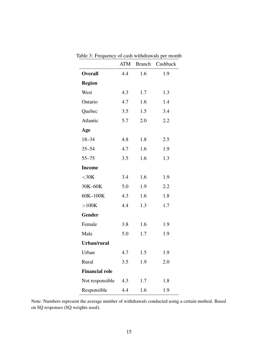<span id="page-18-0"></span>

|                       | ATM | <b>Branch</b> | Cashback |
|-----------------------|-----|---------------|----------|
| <b>Overall</b>        | 4.4 | 1.6           | 1.9      |
| <b>Region</b>         |     |               |          |
| West                  | 4.3 | 1.7           | 1.3      |
| Ontario               | 4.7 | 1.6           | 1.4      |
| Quebec                | 3.5 | 1.5           | 3.4      |
| Atlantic              | 5.7 | 2.0           | 2.2      |
| Age                   |     |               |          |
| $18 - 34$             | 4.8 | 1.8           | 2.5      |
| $35 - 54$             | 4.7 | 1.6           | 1.9      |
| $55 - 75$             | 3.5 | 1.6           | 1.3      |
| <b>Income</b>         |     |               |          |
| $<$ 30K               | 3.4 | 1.6           | 1.9      |
| 30K-60K               | 5.0 | 1.9           | 2.2      |
| 60K-100K              | 4.3 | 1.6           | 1.8      |
| >100K                 | 4.4 | 1.3           | 1.7      |
| Gender                |     |               |          |
| Female                | 3.8 | 1.6           | 1.9      |
| Male                  | 5.0 | 1.7           | 1.9      |
| Urban/rural           |     |               |          |
| Urban                 | 4.7 | 1.5           | 1.9      |
| Rural                 | 3.5 | 1.9           | 2.0      |
| <b>Financial role</b> |     |               |          |
| Not responsible       | 4.3 | 1.7           | 1.8      |
| Responsible           | 4.4 | 1.6           | 1.9      |

Table 3: Frequency of cash withdrawals per month

Note: Numbers represent the average number of withdrawals conducted using a certain method. Based on SQ responses (SQ weights used).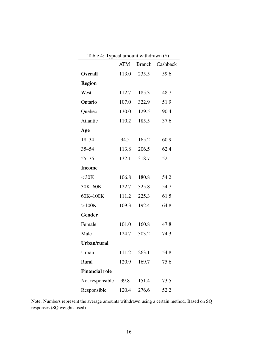| rable 4. Typical amount withdrawn (5) | ATM   |             | Branch Cashback |
|---------------------------------------|-------|-------------|-----------------|
| <b>Overall</b>                        |       | 113.0 235.5 | 59.6            |
|                                       |       |             |                 |
| <b>Region</b>                         |       |             |                 |
| West                                  | 112.7 | 185.3       | 48.7            |
| Ontario                               | 107.0 | 322.9       | 51.9            |
| Quebec                                | 130.0 | 129.5       | 90.4            |
| Atlantic                              | 110.2 | 185.5       | 37.6            |
| Age                                   |       |             |                 |
| $18 - 34$                             | 94.5  | 165.2       | 60.9            |
| $35 - 54$                             | 113.8 | 206.5       | 62.4            |
| $55 - 75$                             | 132.1 | 318.7       | 52.1            |
| <b>Income</b>                         |       |             |                 |
| $<$ 30 $K$                            | 106.8 | 180.8       | 54.2            |
| 30K-60K                               | 122.7 | 325.8       | 54.7            |
| 60K-100K                              | 111.2 | 225.3       | 61.5            |
| >100K                                 | 109.3 | 192.4       | 64.8            |
| <b>Gender</b>                         |       |             |                 |
| Female                                | 101.0 | 160.8       | 47.8            |
| Male                                  | 124.7 | 303.2       | 74.3            |
| Urban/rural                           |       |             |                 |
| Urban                                 | 111.2 | 263.1       | 54.8            |
| Rural                                 | 120.9 | 169.7       | 75.6            |
| <b>Financial role</b>                 |       |             |                 |
| Not responsible                       | 99.8  | 151.4       | 73.5            |
| Responsible                           | 120.4 | 276.6       | 52.2            |

<span id="page-19-0"></span>Table  $4$ : Typical amount withdrawn  $(\hat{\mathbf{x}})$ 

Note: Numbers represent the average amounts withdrawn using a certain method. Based on SQ responses (SQ weights used).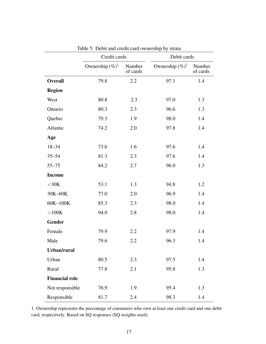|                       | Credit cards       |                    | Debit cards        |                    |
|-----------------------|--------------------|--------------------|--------------------|--------------------|
|                       | Ownership $(\%)^1$ | Number<br>of cards | Ownership $(\%)^1$ | Number<br>of cards |
| <b>Overall</b>        | 79.8               | 2.2                | 97.1               | 1.4                |
| <b>Region</b>         |                    |                    |                    |                    |
| West                  | 80.8               | 2.3                | 97.0               | 1.3                |
| Ontario               | 80.3               | 2.3                | 96.6               | 1.3                |
| Quebec                | 79.3               | 1.9                | 98.0               | 1.4                |
| Atlantic              | 74.2               | 2.0                | 97.8               | 1.4                |
| Age                   |                    |                    |                    |                    |
| $18 - 34$             | 73.6               | 1.6                | 97.6               | 1.4                |
| $35 - 54$             | 81.3               | 2.3                | 97.6               | 1.4                |
| $55 - 75$             | 84.2               | 2.7                | 96.0               | 1.3                |
| <b>Income</b>         |                    |                    |                    |                    |
| $<$ 30K               | 53.1               | 1.3                | 94.8               | 1.2                |
| 30K-60K               | 77.0               | 2.0                | 96.9               | 1.4                |
| 60K-100K              | 85.3               | 2.3                | 98.0               | 1.4                |
| >100K                 | 94.0               | 2.8                | 98.0               | 1.4                |
| Gender                |                    |                    |                    |                    |
| Female                | 79.9               | 2.2                | 97.9               | 1.4                |
| Male                  | 79.6               | 2.2                | 96.3               | 1.4                |
| Urban/rural           |                    |                    |                    |                    |
| Urban                 | 80.5               | 2.3                | 97.5               | 1.4                |
| Rural                 | 77.8               | 2.1                | 95.8               | 1.3                |
| <b>Financial role</b> |                    |                    |                    |                    |
| Not responsible       | 76.9               | 1.9                | 95.4               | 1.3                |
| Responsible           | 81.7               | 2.4                | 98.3               | 1.4                |

<span id="page-20-0"></span>

| Table 5: Debit and credit card ownership by strata |  |  |
|----------------------------------------------------|--|--|
|----------------------------------------------------|--|--|

1. Ownership represents the percentage of consumers who own at least one credit card and one debit card, respectively. Based on SQ responses (SQ weights used).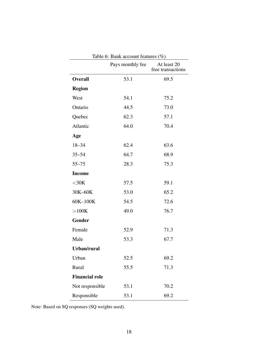|                       | Pays monthly fee | At least 20<br>free transactions |
|-----------------------|------------------|----------------------------------|
| <b>Overall</b>        | 53.1             | 69.5                             |
| <b>Region</b>         |                  |                                  |
| West                  | 54.1             | 75.2                             |
| Ontario               | 44.5             | 73.0                             |
| Quebec                | 62.3             | 57.1                             |
| Atlantic              | 64.0             | 70.4                             |
| Age                   |                  |                                  |
| $18 - 34$             | 62.4             | 63.6                             |
| $35 - 54$             | 64.7             | 68.9                             |
| $55 - 75$             | 28.3             | 75.3                             |
| <b>Income</b>         |                  |                                  |
| $<$ 30K               | 57.5             | 59.1                             |
| 30K-60K               | 53.0             | 65.2                             |
| 60K-100K              | 54.5             | 72.6                             |
| >100K                 | 49.0             | 76.7                             |
| <b>Gender</b>         |                  |                                  |
| Female                | 52.9             | 71.3                             |
| Male                  | 53.3             | 67.7                             |
| Urban/rural           |                  |                                  |
| Urban                 | 52.5             | 69.2                             |
| Rural                 | 55.5             | 71.3                             |
| <b>Financial role</b> |                  |                                  |
| Not responsible       | 53.1             | 70.2                             |
| Responsible           | 53.1             | 69.2                             |

<span id="page-21-0"></span>Table 6:  $Rank$  account features  $(\% )$ 

Note: Based on SQ responses (SQ weights used).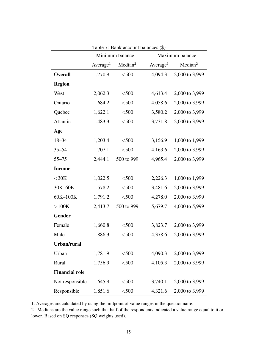|                       | Minimum balance      |                     |                      | Maximum balance     |
|-----------------------|----------------------|---------------------|----------------------|---------------------|
|                       | Average <sup>1</sup> | Median <sup>2</sup> | Average <sup>1</sup> | Median <sup>2</sup> |
| <b>Overall</b>        | 1,770.9              | $<$ 500             | 4,094.3              | 2,000 to 3,999      |
| <b>Region</b>         |                      |                     |                      |                     |
| West                  | 2,062.3              | $<$ 500             | 4,613.4              | 2,000 to 3,999      |
| Ontario               | 1,684.2              | $<$ 500             | 4,058.6              | 2,000 to 3,999      |
| Quebec                | 1,622.1              | $<$ 500             | 3,580.2              | 2,000 to 3,999      |
| Atlantic              | 1,483.3              | $<$ 500             | 3,731.8              | 2,000 to 3,999      |
| Age                   |                      |                     |                      |                     |
| $18 - 34$             | 1,203.4              | $<$ 500             | 3,156.9              | 1,000 to 1,999      |
| $35 - 54$             | 1,707.1              | $<$ 500             | 4,163.6              | 2,000 to 3,999      |
| $55 - 75$             | 2,444.1              | 500 to 999          | 4,965.4              | 2,000 to 3,999      |
| <b>Income</b>         |                      |                     |                      |                     |
| $<$ 30K               | 1,022.5              | $<$ 500             | 2,226.3              | 1,000 to 1,999      |
| 30K-60K               | 1,578.2              | $<$ 500             | 3,481.6              | 2,000 to 3,999      |
| 60K-100K              | 1,791.2              | $<$ 500             | 4,278.0              | 2,000 to 3,999      |
| >100K                 | 2,413.7              | 500 to 999          | 5,679.7              | 4,000 to 5,999      |
| <b>Gender</b>         |                      |                     |                      |                     |
| Female                | 1,660.8              | $<$ 500             | 3,823.7              | 2,000 to 3,999      |
| Male                  | 1,886.3              | $<$ 500             | 4,378.6              | 2,000 to 3,999      |
| Urban/rural           |                      |                     |                      |                     |
| Urban                 | 1,781.9              | $<$ 500             | 4,090.3              | 2,000 to 3,999      |
| Rural                 | 1,756.9              | $<$ 500             | 4,105.3              | 2,000 to 3,999      |
| <b>Financial role</b> |                      |                     |                      |                     |
| Not responsible       | 1,645.9              | $<$ 500             | 3,740.1              | 2,000 to 3,999      |
| Responsible           | 1,851.6              | $<$ 500             | 4,321.6              | 2,000 to 3,999      |

<span id="page-22-0"></span>Table 7: Bank account balances (\$)

1. Averages are calculated by using the midpoint of value ranges in the questionnaire.

2. Medians are the value range such that half of the respondents indicated a value range equal to it or lower. Based on SQ responses (SQ weights used).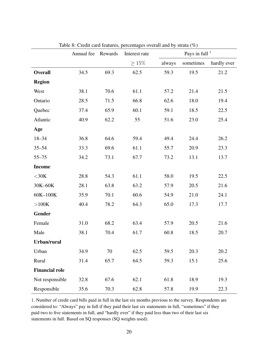|                       | Annual fee | Rewards | Interest rate | Pays in full $1$ |           |             |
|-----------------------|------------|---------|---------------|------------------|-----------|-------------|
|                       |            |         | $\geq 15\%$   | always           | sometimes | hardly ever |
| <b>Overall</b>        | 34.5       | 69.3    | 62.5          | 59.3             | 19.5      | 21.2        |
| <b>Region</b>         |            |         |               |                  |           |             |
| West                  | 38.1       | 70.6    | 61.1          | 57.2             | 21.4      | 21.5        |
| Ontario               | 28.5       | 71.5    | 66.8          | 62.6             | 18.0      | 19.4        |
| Quebec                | 37.4       | 65.9    | 60.1          | 59.1             | 18.5      | 22.5        |
| Atlantic              | 40.9       | 62.2    | 55            | 51.6             | 23.0      | 25.4        |
| Age                   |            |         |               |                  |           |             |
| $18 - 34$             | 36.8       | 64.6    | 59.4          | 49.4             | 24.4      | 26.2        |
| $35 - 54$             | 33.3       | 69.6    | 61.1          | 55.7             | 20.9      | 23.3        |
| $55 - 75$             | 34.2       | 73.1    | 67.7          | 73.2             | 13.1      | 13.7        |
| <b>Income</b>         |            |         |               |                  |           |             |
| $<$ 30K               | 28.8       | 54.3    | 61.1          | 58.0             | 19.5      | 22.5        |
| 30K-60K               | 28.1       | 63.8    | 63.2          | 57.9             | 20.5      | 21.6        |
| 60K-100K              | 35.9       | 70.1    | 60.6          | 54.9             | 21.0      | 24.1        |
| >100K                 | 40.4       | 78.2    | 64.3          | 65.0             | 17.3      | 17.7        |
| Gender                |            |         |               |                  |           |             |
| Female                | 31.0       | 68.2    | 63.4          | 57.9             | 20.5      | 21.6        |
| Male                  | 38.1       | 70.4    | 61.7          | 60.8             | 18.5      | 20.7        |
| Urban/rural           |            |         |               |                  |           |             |
| Urban                 | 34.9       | 70      | 62.5          | 59.5             | 20.3      | 20.2        |
| Rural                 | 31.4       | 65.7    | 64.5          | 59.3             | 15.1      | 25.6        |
| <b>Financial role</b> |            |         |               |                  |           |             |
| Not responsible       | 32.8       | 67.6    | 62.1          | 61.8             | 18.9      | 19.3        |
| Responsible           | 35.6       | 70.3    | 62.8          | 57.8             | 19.9      | 22.3        |

<span id="page-23-0"></span>Table 8: Credit card features, percentages overall and by strata (%)

1. Number of credit card bills paid in full in the last six months previous to the survey. Respondents are considered to: "Always" pay in full if they paid their last six statements in full, "sometimes" if they paid two to five statements in full, and "hardly ever" if they paid less than two of their last six statements in full. Based on SQ responses (SQ weights used).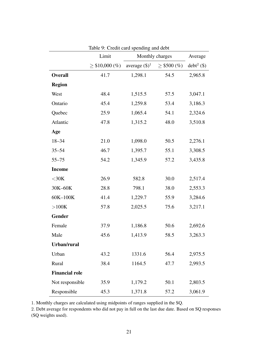|                       | Limit               |                  | Monthly charges  |               |
|-----------------------|---------------------|------------------|------------------|---------------|
|                       | $\geq$ \$10,000 (%) | average $(\$)^1$ | $\geq$ \$500 (%) | $debt^2$ (\$) |
| <b>Overall</b>        | 41.7                | 1,298.1          | 54.5             | 2,965.8       |
| <b>Region</b>         |                     |                  |                  |               |
| West                  | 48.4                | 1,515.5          | 57.5             | 3,047.1       |
| Ontario               | 45.4                | 1,259.8          | 53.4             | 3,186.3       |
| Quebec                | 25.9                | 1,065.4          | 54.1             | 2,324.6       |
| Atlantic              | 47.8                | 1,315.2          | 48.0             | 3,510.8       |
| Age                   |                     |                  |                  |               |
| $18 - 34$             | 21.0                | 1,098.0          | 50.5             | 2,276.1       |
| $35 - 54$             | 46.7                | 1,395.7          | 55.1             | 3,308.5       |
| $55 - 75$             | 54.2                | 1,345.9          | 57.2             | 3,435.8       |
| <b>Income</b>         |                     |                  |                  |               |
| $<$ 30K               | 26.9                | 582.8            | 30.0             | 2,517.4       |
| 30K-60K               | 28.8                | 798.1            | 38.0             | 2,553.3       |
| 60K-100K              | 41.4                | 1,229.7          | 55.9             | 3,284.6       |
| $>100K$               | 57.8                | 2,025.5          | 75.6             | 3,217.1       |
| <b>Gender</b>         |                     |                  |                  |               |
| Female                | 37.9                | 1,186.8          | 50.6             | 2,692.6       |
| Male                  | 45.6                | 1,413.9          | 58.5             | 3,263.3       |
| Urban/rural           |                     |                  |                  |               |
| Urban                 | 43.2                | 1331.6           | 56.4             | 2,975.5       |
| Rural                 | 38.4                | 1164.5           | 47.7             | 2,993.5       |
| <b>Financial role</b> |                     |                  |                  |               |
| Not responsible       | 35.9                | 1,179.2          | 50.1             | 2,803.5       |
| Responsible           | 45.3                | 1,371.8          | 57.2             | 3,061.9       |

<span id="page-24-0"></span>Table 9: Credit card spending and debt

1. Monthly charges are calculated using midpoints of ranges supplied in the SQ.

2. Debt average for respondents who did not pay in full on the last due date. Based on SQ responses (SQ weights used).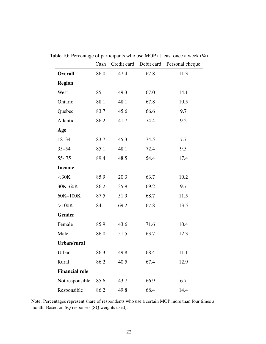<span id="page-25-0"></span>

|                       | Cash |      |      | Credit card Debit card Personal cheque |
|-----------------------|------|------|------|----------------------------------------|
| <b>Overall</b>        | 86.0 | 47.4 | 67.8 | 11.3                                   |
| <b>Region</b>         |      |      |      |                                        |
| West                  | 85.1 | 49.3 | 67.0 | 14.1                                   |
| Ontario               | 88.1 | 48.1 | 67.8 | 10.5                                   |
| Quebec                | 83.7 | 45.6 | 66.6 | 9.7                                    |
| Atlantic              | 86.2 | 41.7 | 74.4 | 9.2                                    |
| Age                   |      |      |      |                                        |
| $18 - 34$             | 83.7 | 45.3 | 74.5 | 7.7                                    |
| $35 - 54$             | 85.1 | 48.1 | 72.4 | 9.5                                    |
| $55 - 75$             | 89.4 | 48.5 | 54.4 | 17.4                                   |
| <b>Income</b>         |      |      |      |                                        |
| $<$ 30K               | 85.9 | 20.3 | 63.7 | 10.2                                   |
| 30K-60K               | 86.2 | 35.9 | 69.2 | 9.7                                    |
| 60K-100K              | 87.5 | 51.9 | 68.7 | 11.5                                   |
| >100K                 | 84.1 | 69.2 | 67.8 | 13.5                                   |
| Gender                |      |      |      |                                        |
| Female                | 85.9 | 43.6 | 71.6 | 10.4                                   |
| Male                  | 86.0 | 51.5 | 63.7 | 12.3                                   |
| Urban/rural           |      |      |      |                                        |
| Urban                 | 86.3 | 49.8 | 68.4 | 11.1                                   |
| Rural                 | 86.2 | 40.5 | 67.4 | 12.9                                   |
| <b>Financial role</b> |      |      |      |                                        |
| Not responsible       | 85.6 | 43.7 | 66.9 | 6.7                                    |
| Responsible           | 86.2 | 49.8 | 68.4 | 14.4                                   |

Table 10: Percentage of participants who use MOP at least once a week (%)

Note: Percentages represent share of respondents who use a certain MOP more than four times a month. Based on SQ responses (SQ weights used).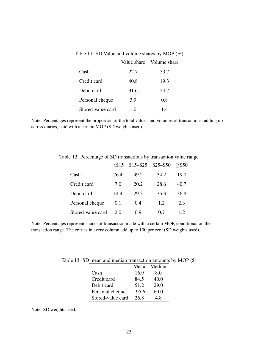|                   |      | Value share Volume share |
|-------------------|------|--------------------------|
| Cash              | 22.7 | 53.7                     |
| Credit card       | 40.8 | 19.3                     |
| Debit card        | 31.6 | 24.7                     |
| Personal cheque   | 3.9  | 0.8                      |
| Stored-value card | 1.0  | 1.4                      |

<span id="page-26-0"></span>Table 11: SD Value and volume shares by MOP (%)

Note: Percentages represent the proportion of the total values and volumes of transactions, adding up across diaries, paid with a certain MOP (SD weights used).

<span id="page-26-1"></span>

|                   | $\leq$ \$15 |      | $$15 - $25$ $$25 - $50$ | $>$ \$50 |
|-------------------|-------------|------|-------------------------|----------|
| Cash              | 76.4        | 49.2 | 34.2                    | 19.0     |
| Credit card       | 7.0         | 20.2 | 28.6                    | 40.7     |
| Debit card        | 14.4        | 29.3 | 35.3                    | 36.8     |
| Personal cheque   | 0.1         | 0.4  | 1.2.                    | 2.3      |
| Stored-value card | 2.0         | 0.9  | 07                      | 12       |

Table 12: Percentage of SD transactions by transaction value range

Note: Percentages represent shares of transaction made with a certain MOP, conditional on the transaction range. The entries in every column add up to 100 per cent (SD weights used).

<span id="page-26-2"></span>

|                   | Mean  | Median |
|-------------------|-------|--------|
| Cash              | 16.9  | 8.0    |
| Credit card       | 84.5  | 40.0   |
| Debit card        | 51.2  | 29.0   |
| Personal cheque   | 195.6 | 60.0   |
| Stored-value card | 26.8  | 48     |

Table 13: SD mean and median transaction amounts by MOP (\$)

Note: SD weights used.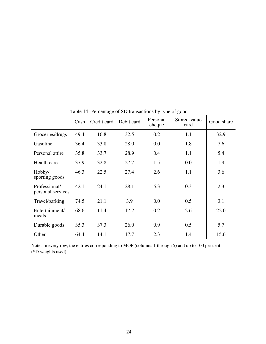|                                    | Cash | Credit card | Debit card | Personal<br>cheque | Stored-value<br>card | Good share |
|------------------------------------|------|-------------|------------|--------------------|----------------------|------------|
| Groceries/drugs                    | 49.4 | 16.8        | 32.5       | 0.2                | 1.1                  | 32.9       |
| Gasoline                           | 36.4 | 33.8        | 28.0       | 0.0                | 1.8                  | 7.6        |
| Personal attire                    | 35.8 | 33.7        | 28.9       | 0.4                | 1.1                  | 5.4        |
| Health care                        | 37.9 | 32.8        | 27.7       | 1.5                | 0.0                  | 1.9        |
| Hobby/<br>sporting goods           | 46.3 | 22.5        | 27.4       | 2.6                | 1.1                  | 3.6        |
| Professional/<br>personal services | 42.1 | 24.1        | 28.1       | 5.3                | 0.3                  | 2.3        |
| Travel/parking                     | 74.5 | 21.1        | 3.9        | 0.0                | 0.5                  | 3.1        |
| Entertainment/<br>meals            | 68.6 | 11.4        | 17.2       | 0.2                | 2.6                  | 22.0       |
| Durable goods                      | 35.3 | 37.3        | 26.0       | 0.9                | 0.5                  | 5.7        |
| Other                              | 64.4 | 14.1        | 17.7       | 2.3                | 1.4                  | 15.6       |

<span id="page-27-0"></span>Table 14: Percentage of SD transactions by type of good

Note: In every row, the entries corresponding to MOP (columns 1 through 5) add up to 100 per cent (SD weights used).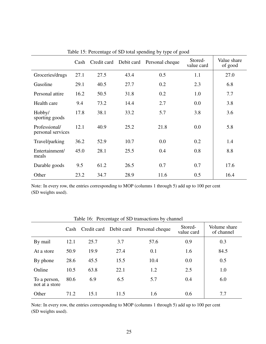|                                    | Cash | Credit card | Debit card | Personal cheque | Stored-<br>value card | Value share<br>of good |
|------------------------------------|------|-------------|------------|-----------------|-----------------------|------------------------|
| Groceries/drugs                    | 27.1 | 27.5        | 43.4       | 0.5             | 1.1                   | 27.0                   |
| Gasoline                           | 29.1 | 40.5        | 27.7       | 0.2             | 2.3                   | 6.8                    |
| Personal attire                    | 16.2 | 50.5        | 31.8       | 0.2             | 1.0                   | 7.7                    |
| Health care                        | 9.4  | 73.2        | 14.4       | 2.7             | 0.0                   | 3.8                    |
| Hobby/<br>sporting goods           | 17.8 | 38.1        | 33.2       | 5.7             | 3.8                   | 3.6                    |
| Professional/<br>personal services | 12.1 | 40.9        | 25.2       | 21.8            | 0.0                   | 5.8                    |
| Travel/parking                     | 36.2 | 52.9        | 10.7       | 0.0             | 0.2                   | 1.4                    |
| Entertainment/<br>meals            | 45.0 | 28.1        | 25.5       | 0.4             | 0.8                   | 8.8                    |
| Durable goods                      | 9.5  | 61.2        | 26.5       | 0.7             | 0.7                   | 17.6                   |
| Other                              | 23.2 | 34.7        | 28.9       | 11.6            | 0.5                   | 16.4                   |

<span id="page-28-0"></span>Table 15: Percentage of SD total spending by type of good

Note: In every row, the entries corresponding to MOP (columns 1 through 5) add up to 100 per cent (SD weights used).

| Table 16: Percentage of SD transactions by channel |      |             |            |                 |                       |                            |  |
|----------------------------------------------------|------|-------------|------------|-----------------|-----------------------|----------------------------|--|
|                                                    | Cash | Credit card | Debit card | Personal cheque | Stored-<br>value card | Volume share<br>of channel |  |
| By mail                                            | 12.1 | 25.7        | 3.7        | 57.6            | 0.9                   | 0.3                        |  |
| At a store                                         | 50.9 | 19.9        | 27.4       | 0.1             | 1.6                   | 84.5                       |  |
| By phone                                           | 28.6 | 45.5        | 15.5       | 10.4            | 0.0                   | 0.5                        |  |
| Online                                             | 10.5 | 63.8        | 22.1       | 1.2             | 2.5                   | 1.0                        |  |
| To a person,<br>not at a store                     | 80.6 | 6.9         | 6.5        | 5.7             | 0.4                   | 6.0                        |  |
| Other                                              | 71.2 | 15.1        | 11.5       | 1.6             | 0.6                   | 7.7                        |  |

<span id="page-28-1"></span>Table 16: Percentage of SD transactions by channel

Note: In every row, the entries corresponding to MOP (columns 1 through 5) add up to 100 per cent (SD weights used).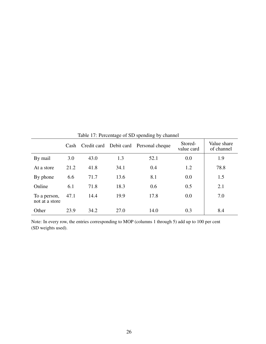|                                |      |             | ັ    | ັ<br>◡                     |                       |                           |
|--------------------------------|------|-------------|------|----------------------------|-----------------------|---------------------------|
|                                | Cash | Credit card |      | Debit card Personal cheque | Stored-<br>value card | Value share<br>of channel |
| By mail                        | 3.0  | 43.0        | 1.3  | 52.1                       | 0.0                   | 1.9                       |
| At a store                     | 21.2 | 41.8        | 34.1 | 0.4                        | 1.2                   | 78.8                      |
| By phone                       | 6.6  | 71.7        | 13.6 | 8.1                        | 0.0                   | 1.5                       |
| Online                         | 6.1  | 71.8        | 18.3 | 0.6                        | 0.5                   | 2.1                       |
| To a person,<br>not at a store | 47.1 | 14.4        | 19.9 | 17.8                       | 0.0                   | 7.0                       |
| Other                          | 23.9 | 34.2        | 27.0 | 14.0                       | 0.3                   | 8.4                       |

<span id="page-29-0"></span>Table 17: Percentage of SD spending by channel

Note: In every row, the entries corresponding to MOP (columns 1 through 5) add up to 100 per cent (SD weights used).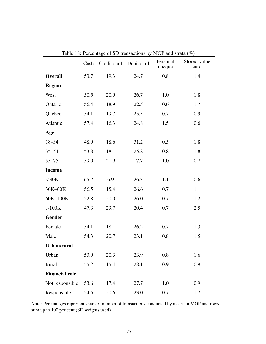|                       | Cash | Credit card | Debit card | Personal<br>cheque | Stored-value<br>card |
|-----------------------|------|-------------|------------|--------------------|----------------------|
| <b>Overall</b>        | 53.7 | 19.3        | 24.7       | 0.8                | 1.4                  |
| <b>Region</b>         |      |             |            |                    |                      |
| West                  | 50.5 | 20.9        | 26.7       | 1.0                | 1.8                  |
| Ontario               | 56.4 | 18.9        | 22.5       | 0.6                | 1.7                  |
| Quebec                | 54.1 | 19.7        | 25.5       | 0.7                | 0.9                  |
| Atlantic              | 57.4 | 16.3        | 24.8       | 1.5                | 0.6                  |
| Age                   |      |             |            |                    |                      |
| $18 - 34$             | 48.9 | 18.6        | 31.2       | 0.5                | 1.8                  |
| $35 - 54$             | 53.8 | 18.1        | 25.8       | 0.8                | 1.8                  |
| $55 - 75$             | 59.0 | 21.9        | 17.7       | 1.0                | 0.7                  |
| <b>Income</b>         |      |             |            |                    |                      |
| $<$ 30K               | 65.2 | 6.9         | 26.3       | 1.1                | 0.6                  |
| 30K-60K               | 56.5 | 15.4        | 26.6       | 0.7                | 1.1                  |
| 60K-100K              | 52.8 | 20.0        | 26.0       | 0.7                | 1.2                  |
| >100K                 | 47.3 | 29.7        | 20.4       | 0.7                | 2.5                  |
| <b>Gender</b>         |      |             |            |                    |                      |
| Female                | 54.1 | 18.1        | 26.2       | 0.7                | 1.3                  |
| Male                  | 54.3 | 20.7        | 23.1       | 0.8                | 1.5                  |
| Urban/rural           |      |             |            |                    |                      |
| Urban                 | 53.9 | 20.3        | 23.9       | 0.8                | 1.6                  |
| Rural                 | 55.2 | 15.4        | 28.1       | 0.9                | 0.9                  |
| <b>Financial role</b> |      |             |            |                    |                      |
| Not responsible       | 53.6 | 17.4        | 27.7       | 1.0                | 0.9                  |
| Responsible           | 54.6 | 20.6        | 23.0       | 0.7                | 1.7                  |

Table 18: Percentage of SD transactions by MOP and strata (%)

Note: Percentages represent share of number of transactions conducted by a certain MOP and rows sum up to 100 per cent (SD weights used).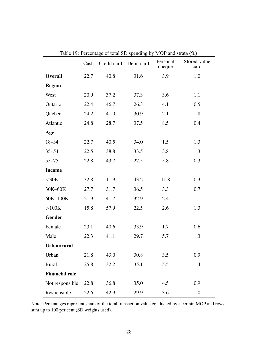|                       |      | Cash Credit card Debit card | $\epsilon$ of total SD spending $\epsilon$ | $1.101$ and $0.100$ ( $\frac{1}{2}$ )<br>Personal<br>cheque | Stored-value<br>card |
|-----------------------|------|-----------------------------|--------------------------------------------|-------------------------------------------------------------|----------------------|
| <b>Overall</b>        | 22.7 | 40.8                        | 31.6                                       | 3.9                                                         | 1.0                  |
| <b>Region</b>         |      |                             |                                            |                                                             |                      |
| West                  | 20.9 | 37.2                        | 37.3                                       | 3.6                                                         | 1.1                  |
| Ontario               | 22.4 | 46.7                        | 26.3                                       | 4.1                                                         | 0.5                  |
| Quebec                | 24.2 | 41.0                        | 30.9                                       | 2.1                                                         | 1.8                  |
| Atlantic              | 24.8 | 28.7                        | 37.5                                       | 8.5                                                         | 0.4                  |
| Age                   |      |                             |                                            |                                                             |                      |
| $18 - 34$             | 22.7 | 40.5                        | 34.0                                       | 1.5                                                         | 1.3                  |
| $35 - 54$             | 22.5 | 38.8                        | 33.5                                       | 3.8                                                         | 1.3                  |
| $55 - 75$             | 22.8 | 43.7                        | 27.5                                       | 5.8                                                         | 0.3                  |
| <b>Income</b>         |      |                             |                                            |                                                             |                      |
| $<$ 30K               | 32.8 | 11.9                        | 43.2                                       | 11.8                                                        | 0.3                  |
| 30K-60K               | 27.7 | 31.7                        | 36.5                                       | 3.3                                                         | 0.7                  |
| 60K-100K              | 21.9 | 41.7                        | 32.9                                       | 2.4                                                         | 1.1                  |
| >100K                 | 15.8 | 57.9                        | 22.5                                       | 2.6                                                         | 1.3                  |
| Gender                |      |                             |                                            |                                                             |                      |
| Female                | 23.1 | 40.6                        | 33.9                                       | 1.7                                                         | 0.6                  |
| Male                  | 22.3 | 41.1                        | 29.7                                       | 5.7                                                         | 1.3                  |
| Urban/rural           |      |                             |                                            |                                                             |                      |
| Urban                 | 21.8 | 43.0                        | 30.8                                       | 3.5                                                         | 0.9                  |
| Rural                 | 25.8 | 32.2                        | 35.1                                       | 5.5                                                         | 1.4                  |
| <b>Financial role</b> |      |                             |                                            |                                                             |                      |
| Not responsible       | 22.8 | 36.8                        | 35.0                                       | 4.5                                                         | 0.9                  |
| Responsible           | 22.6 | 42.9                        | 29.9                                       | 3.6                                                         | 1.0                  |

<span id="page-31-0"></span>Table 19: Percentage of total SD spending by MOP and strata (%)

Note: Percentages represent share of the total transaction value conducted by a certain MOP and rows sum up to 100 per cent (SD weights used).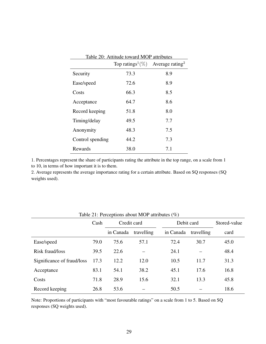<span id="page-32-0"></span>

|                  | Top ratings <sup>1</sup> $(\%)$ Average rating <sup>2</sup> |     |
|------------------|-------------------------------------------------------------|-----|
| Security         | 73.3                                                        | 8.9 |
| Ease/speed       | 72.6                                                        | 8.9 |
| Costs            | 66.3                                                        | 8.5 |
| Acceptance       | 64.7                                                        | 8.6 |
| Record keeping   | 51.8                                                        | 8.0 |
| Timing/delay     | 49.5                                                        | 7.7 |
| Anonymity        | 48.3                                                        | 7.5 |
| Control spending | 44.2                                                        | 7.3 |
| Rewards          | 38.0                                                        | 7.1 |

1. Percentages represent the share of participants rating the attribute in the top range, on a scale from 1 to 10, in terms of how important it is to them.

2. Average represents the average importance rating for a certain attribute. Based on SQ responses (SQ weights used).

|                            | Cash | Credit card |            |           | Debit card |      |
|----------------------------|------|-------------|------------|-----------|------------|------|
|                            |      | in Canada   | travelling | in Canada | travelling | card |
| Ease/speed                 | 79.0 | 75.6        | 57.1       | 72.4      | 30.7       | 45.0 |
| Risk fraud/loss            | 39.5 | 22.6        |            | 24.1      |            | 48.4 |
| Significance of fraud/loss | 17.3 | 12.2        | 12.0       | 10.5      | 11.7       | 31.3 |
| Acceptance                 | 83.1 | 54.1        | 38.2       | 45.1      | 17.6       | 16.8 |
| Costs                      | 71.8 | 28.9        | 15.6       | 32.1      | 13.3       | 45.8 |
| Record keeping             | 26.8 | 53.6        |            | 50.5      |            | 18.6 |

<span id="page-32-1"></span>Table 21: Perceptions about MOP attributes (%)

Note: Proportions of participants with "most favourable ratings" on a scale from 1 to 5. Based on SQ responses (SQ weights used).